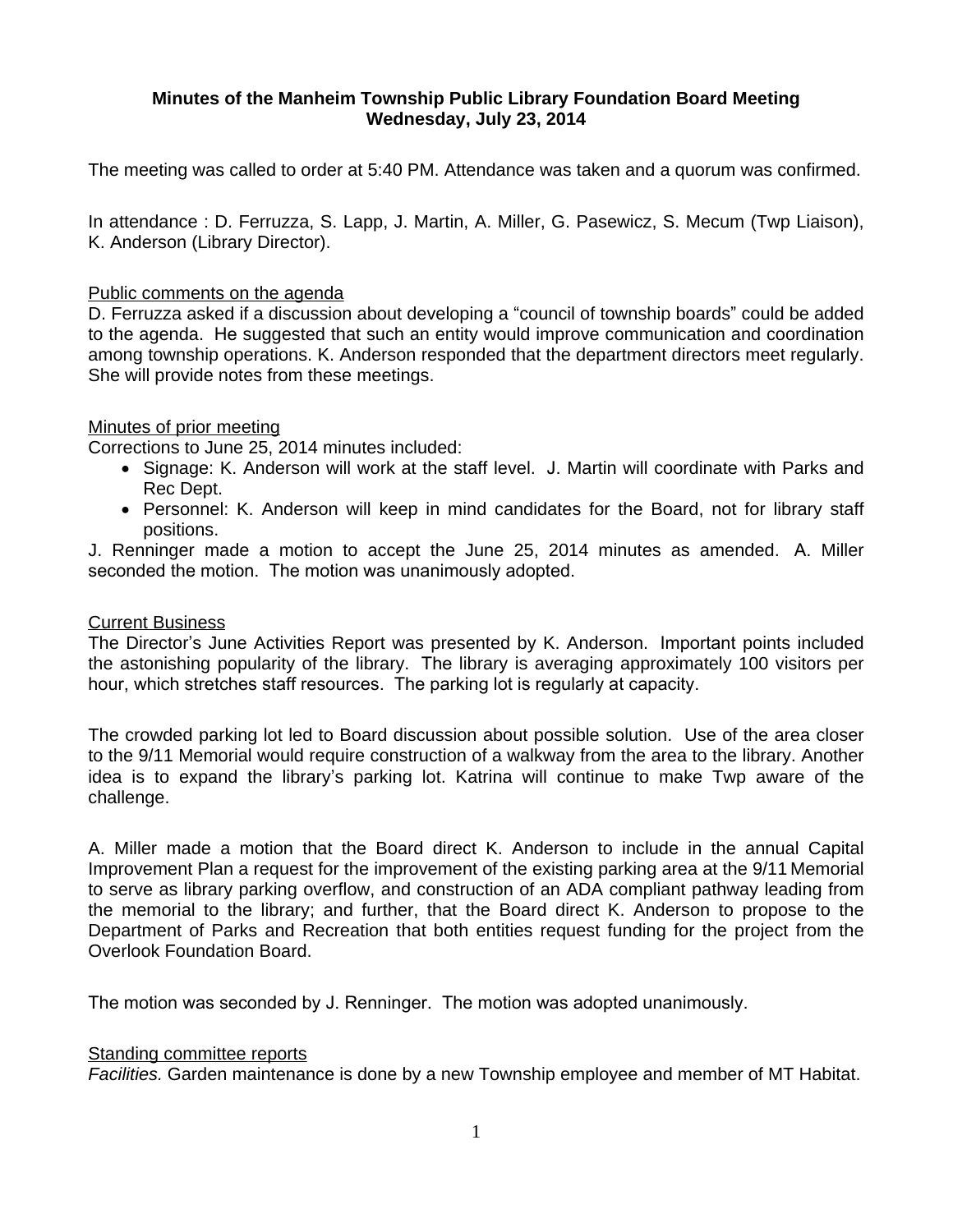# **Minutes of the Manheim Township Public Library Foundation Board Meeting Wednesday, July 23, 2014**

The meeting was called to order at 5:40 PM. Attendance was taken and a quorum was confirmed.

In attendance : D. Ferruzza, S. Lapp, J. Martin, A. Miller, G. Pasewicz, S. Mecum (Twp Liaison), K. Anderson (Library Director).

#### Public comments on the agenda

D. Ferruzza asked if a discussion about developing a "council of township boards" could be added to the agenda. He suggested that such an entity would improve communication and coordination among township operations. K. Anderson responded that the department directors meet regularly. She will provide notes from these meetings.

### Minutes of prior meeting

Corrections to June 25, 2014 minutes included:

- Signage: K. Anderson will work at the staff level. J. Martin will coordinate with Parks and Rec Dept.
- Personnel: K. Anderson will keep in mind candidates for the Board, not for library staff positions.

J. Renninger made a motion to accept the June 25, 2014 minutes as amended. A. Miller seconded the motion. The motion was unanimously adopted.

#### Current Business

The Director's June Activities Report was presented by K. Anderson. Important points included the astonishing popularity of the library. The library is averaging approximately 100 visitors per hour, which stretches staff resources. The parking lot is regularly at capacity.

The crowded parking lot led to Board discussion about possible solution. Use of the area closer to the 9/11 Memorial would require construction of a walkway from the area to the library. Another idea is to expand the library's parking lot. Katrina will continue to make Twp aware of the challenge.

A. Miller made a motion that the Board direct K. Anderson to include in the annual Capital Improvement Plan a request for the improvement of the existing parking area at the 9/11 Memorial to serve as library parking overflow, and construction of an ADA compliant pathway leading from the memorial to the library; and further, that the Board direct K. Anderson to propose to the Department of Parks and Recreation that both entities request funding for the project from the Overlook Foundation Board.

The motion was seconded by J. Renninger. The motion was adopted unanimously.

#### Standing committee reports

*Facilities.* Garden maintenance is done by a new Township employee and member of MT Habitat.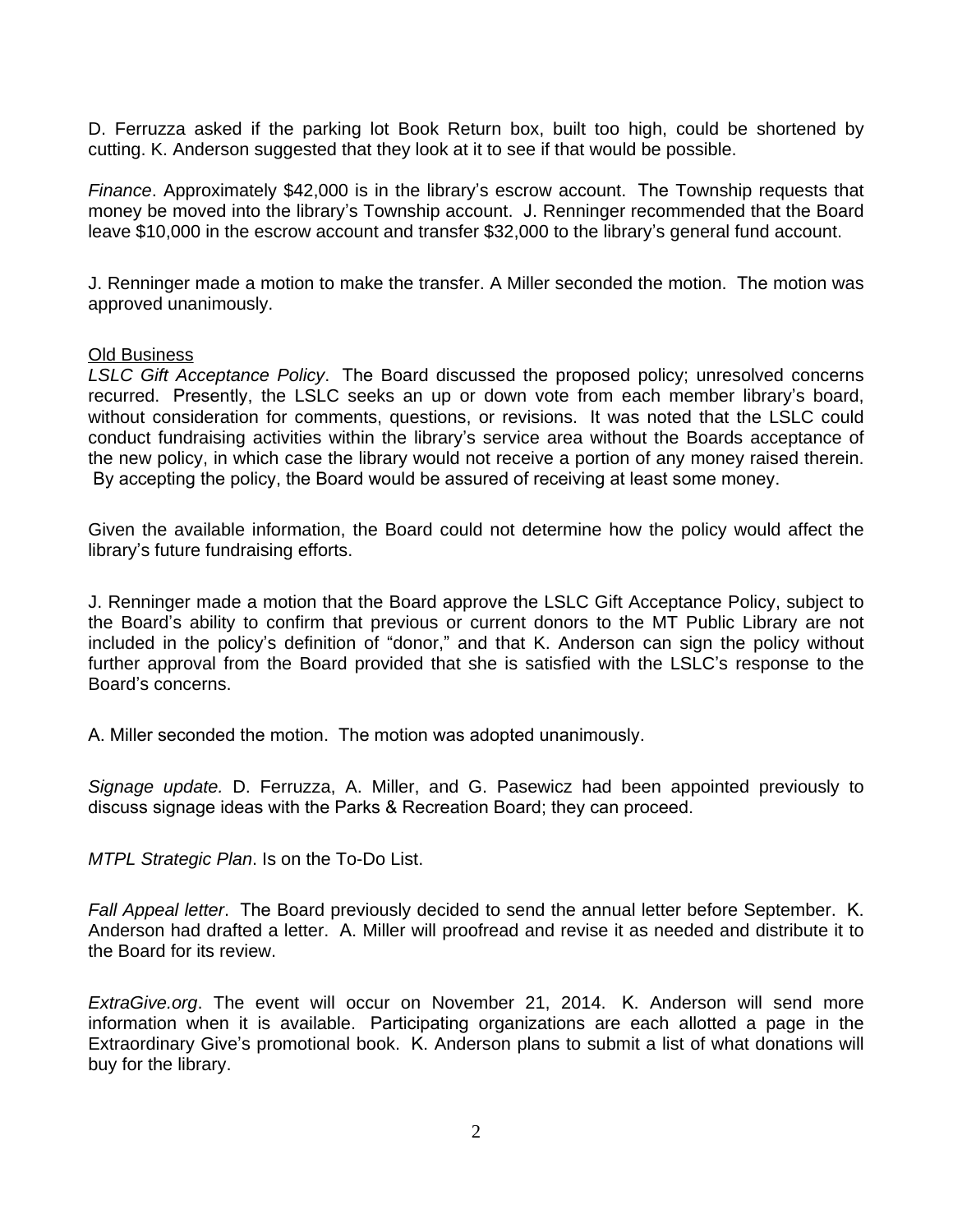D. Ferruzza asked if the parking lot Book Return box, built too high, could be shortened by cutting. K. Anderson suggested that they look at it to see if that would be possible.

*Finance*. Approximately \$42,000 is in the library's escrow account. The Township requests that money be moved into the library's Township account. J. Renninger recommended that the Board leave \$10,000 in the escrow account and transfer \$32,000 to the library's general fund account.

J. Renninger made a motion to make the transfer. A Miller seconded the motion. The motion was approved unanimously.

#### Old Business

*LSLC Gift Acceptance Policy*. The Board discussed the proposed policy; unresolved concerns recurred. Presently, the LSLC seeks an up or down vote from each member library's board, without consideration for comments, questions, or revisions. It was noted that the LSLC could conduct fundraising activities within the library's service area without the Boards acceptance of the new policy, in which case the library would not receive a portion of any money raised therein. By accepting the policy, the Board would be assured of receiving at least some money.

Given the available information, the Board could not determine how the policy would affect the library's future fundraising efforts.

J. Renninger made a motion that the Board approve the LSLC Gift Acceptance Policy, subject to the Board's ability to confirm that previous or current donors to the MT Public Library are not included in the policy's definition of "donor," and that K. Anderson can sign the policy without further approval from the Board provided that she is satisfied with the LSLC's response to the Board's concerns.

A. Miller seconded the motion. The motion was adopted unanimously.

*Signage update.* D. Ferruzza, A. Miller, and G. Pasewicz had been appointed previously to discuss signage ideas with the Parks & Recreation Board; they can proceed.

*MTPL Strategic Plan*. Is on the To-Do List.

*Fall Appeal letter*. The Board previously decided to send the annual letter before September. K. Anderson had drafted a letter. A. Miller will proofread and revise it as needed and distribute it to the Board for its review.

*ExtraGive.org*. The event will occur on November 21, 2014. K. Anderson will send more information when it is available. Participating organizations are each allotted a page in the Extraordinary Give's promotional book. K. Anderson plans to submit a list of what donations will buy for the library.